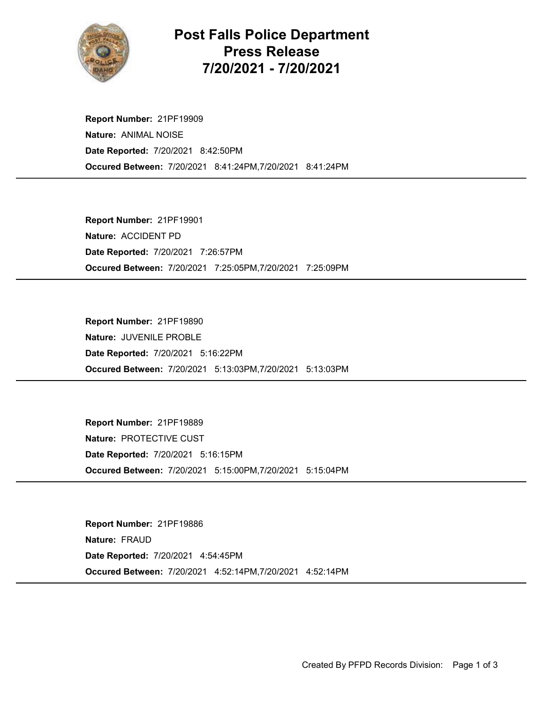

## Post Falls Police Department Press Release 7/20/2021 - 7/20/2021

Occured Between: 7/20/2021 8:41:24PM,7/20/2021 8:41:24PM Report Number: 21PF19909 Nature: ANIMAL NOISE Date Reported: 7/20/2021 8:42:50PM

Occured Between: 7/20/2021 7:25:05PM,7/20/2021 7:25:09PM Report Number: 21PF19901 Nature: ACCIDENT PD Date Reported: 7/20/2021 7:26:57PM

Occured Between: 7/20/2021 5:13:03PM,7/20/2021 5:13:03PM Report Number: 21PF19890 Nature: JUVENILE PROBLE Date Reported: 7/20/2021 5:16:22PM

Occured Between: 7/20/2021 5:15:00PM,7/20/2021 5:15:04PM Report Number: 21PF19889 Nature: PROTECTIVE CUST Date Reported: 7/20/2021 5:16:15PM

Occured Between: 7/20/2021 4:52:14PM,7/20/2021 4:52:14PM Report Number: 21PF19886 Nature: FRAUD Date Reported: 7/20/2021 4:54:45PM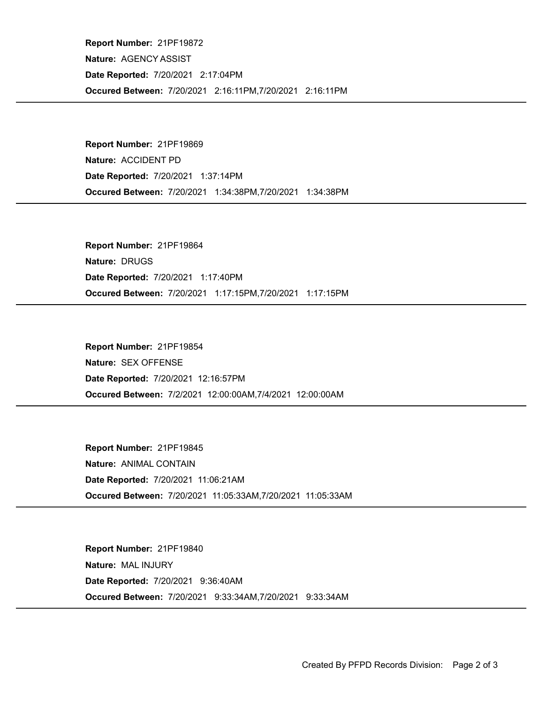Occured Between: 7/20/2021 2:16:11PM,7/20/2021 2:16:11PM Report Number: 21PF19872 Nature: AGENCY ASSIST Date Reported: 7/20/2021 2:17:04PM

Occured Between: 7/20/2021 1:34:38PM,7/20/2021 1:34:38PM Report Number: 21PF19869 Nature: ACCIDENT PD Date Reported: 7/20/2021 1:37:14PM

Occured Between: 7/20/2021 1:17:15PM,7/20/2021 1:17:15PM Report Number: 21PF19864 Nature: DRUGS Date Reported: 7/20/2021 1:17:40PM

Occured Between: 7/2/2021 12:00:00AM,7/4/2021 12:00:00AM Report Number: 21PF19854 Nature: SEX OFFENSE Date Reported: 7/20/2021 12:16:57PM

Occured Between: 7/20/2021 11:05:33AM,7/20/2021 11:05:33AM Report Number: 21PF19845 Nature: ANIMAL CONTAIN Date Reported: 7/20/2021 11:06:21AM

Occured Between: 7/20/2021 9:33:34AM,7/20/2021 9:33:34AM Report Number: 21PF19840 Nature: MAL INJURY Date Reported: 7/20/2021 9:36:40AM